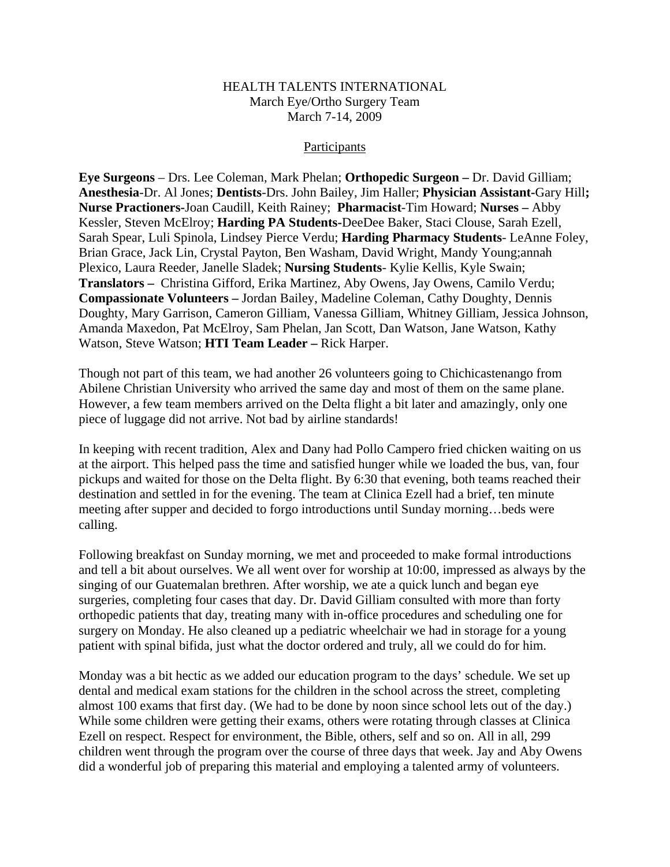## HEALTH TALENTS INTERNATIONAL March Eye/Ortho Surgery Team March 7-14, 2009

## Participants

**Eye Surgeons** – Drs. Lee Coleman, Mark Phelan; **Orthopedic Surgeon –** Dr. David Gilliam; **Anesthesia**-Dr. Al Jones; **Dentists**-Drs. John Bailey, Jim Haller; **Physician Assistant-**Gary Hill**; Nurse Practioners-**Joan Caudill, Keith Rainey; **Pharmacist**-Tim Howard; **Nurses –** Abby Kessler, Steven McElroy; **Harding PA Students-**DeeDee Baker, Staci Clouse, Sarah Ezell, Sarah Spear, Luli Spinola, Lindsey Pierce Verdu; **Harding Pharmacy Students**- LeAnne Foley, Brian Grace, Jack Lin, Crystal Payton, Ben Washam, David Wright, Mandy Young;annah Plexico, Laura Reeder, Janelle Sladek; **Nursing Students**- Kylie Kellis, Kyle Swain; **Translators –** Christina Gifford, Erika Martinez, Aby Owens, Jay Owens, Camilo Verdu; **Compassionate Volunteers –** Jordan Bailey, Madeline Coleman, Cathy Doughty, Dennis Doughty, Mary Garrison, Cameron Gilliam, Vanessa Gilliam, Whitney Gilliam, Jessica Johnson, Amanda Maxedon, Pat McElroy, Sam Phelan, Jan Scott, Dan Watson, Jane Watson, Kathy Watson, Steve Watson; **HTI Team Leader –** Rick Harper.

Though not part of this team, we had another 26 volunteers going to Chichicastenango from Abilene Christian University who arrived the same day and most of them on the same plane. However, a few team members arrived on the Delta flight a bit later and amazingly, only one piece of luggage did not arrive. Not bad by airline standards!

In keeping with recent tradition, Alex and Dany had Pollo Campero fried chicken waiting on us at the airport. This helped pass the time and satisfied hunger while we loaded the bus, van, four pickups and waited for those on the Delta flight. By 6:30 that evening, both teams reached their destination and settled in for the evening. The team at Clinica Ezell had a brief, ten minute meeting after supper and decided to forgo introductions until Sunday morning…beds were calling.

Following breakfast on Sunday morning, we met and proceeded to make formal introductions and tell a bit about ourselves. We all went over for worship at 10:00, impressed as always by the singing of our Guatemalan brethren. After worship, we ate a quick lunch and began eye surgeries, completing four cases that day. Dr. David Gilliam consulted with more than forty orthopedic patients that day, treating many with in-office procedures and scheduling one for surgery on Monday. He also cleaned up a pediatric wheelchair we had in storage for a young patient with spinal bifida, just what the doctor ordered and truly, all we could do for him.

Monday was a bit hectic as we added our education program to the days' schedule. We set up dental and medical exam stations for the children in the school across the street, completing almost 100 exams that first day. (We had to be done by noon since school lets out of the day.) While some children were getting their exams, others were rotating through classes at Clinica Ezell on respect. Respect for environment, the Bible, others, self and so on. All in all, 299 children went through the program over the course of three days that week. Jay and Aby Owens did a wonderful job of preparing this material and employing a talented army of volunteers.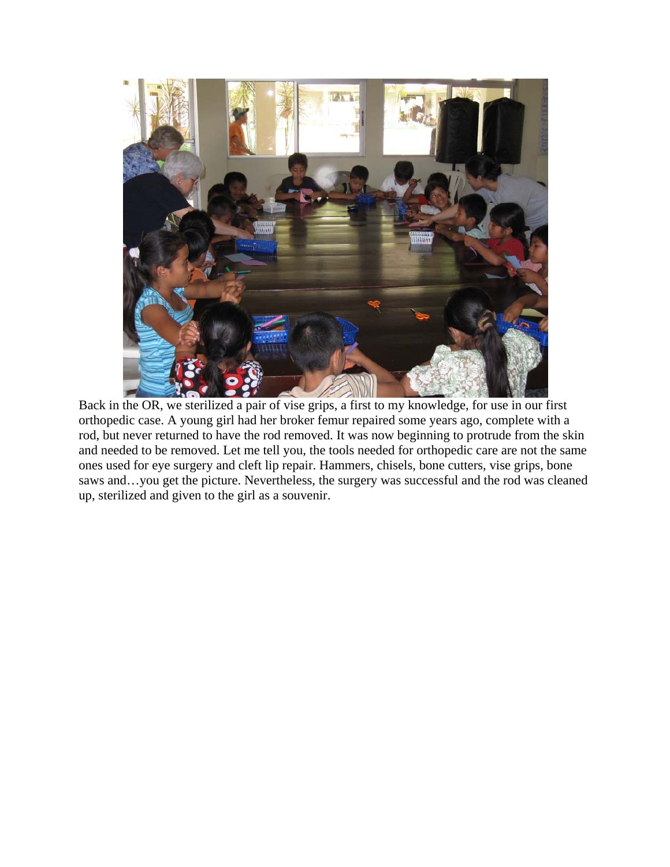

Back in the OR, we sterilized a pair of vise grips, a first to my knowledge, for use in our first orthopedic case. A young girl had her broker femur repaired some years ago, complete with a rod, but never returned to have the rod removed. It was now beginning to protrude from the skin and needed to be removed. Let me tell you, the tools needed for orthopedic care are not the same ones used for eye surgery and cleft lip repair. Hammers, chisels, bone cutters, vise grips, bone saws and…you get the picture. Nevertheless, the surgery was successful and the rod was cleaned up, sterilized and given to the girl as a souvenir.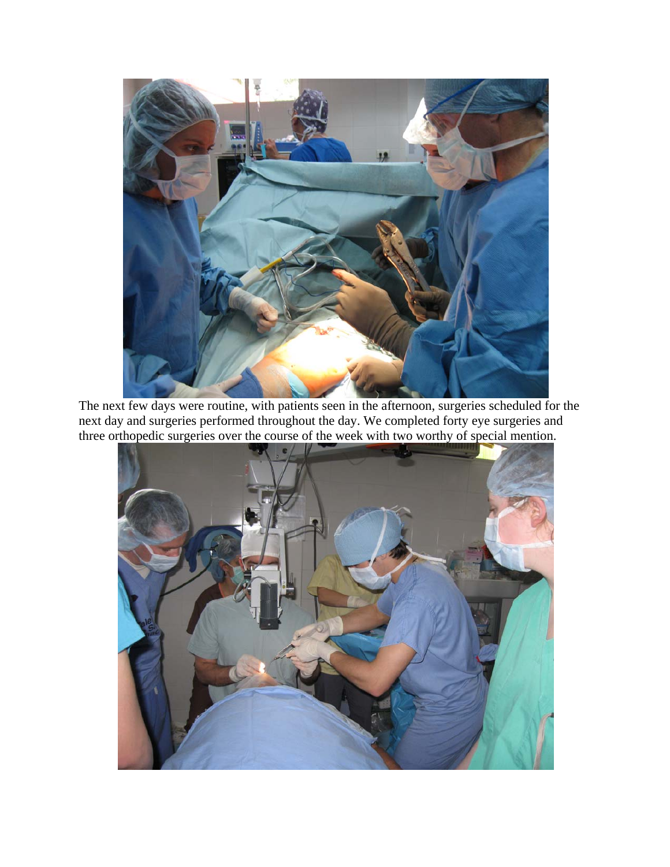

The next few days were routine, with patients seen in the afternoon, surgeries scheduled for the next day and surgeries performed throughout the day. We completed forty eye surgeries and three orthopedic surgeries over the course of the week with two worthy of special mention.

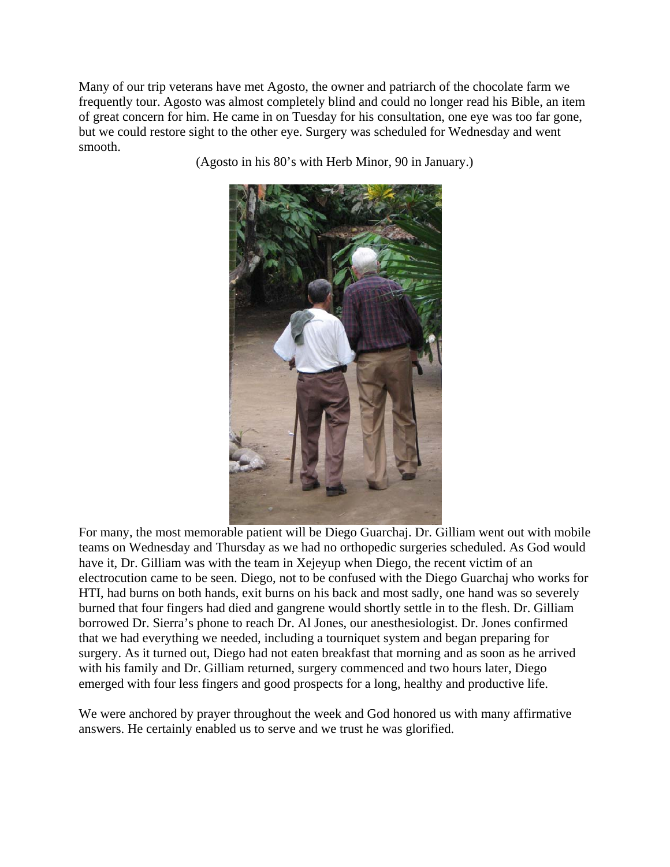Many of our trip veterans have met Agosto, the owner and patriarch of the chocolate farm we frequently tour. Agosto was almost completely blind and could no longer read his Bible, an item of great concern for him. He came in on Tuesday for his consultation, one eye was too far gone, but we could restore sight to the other eye. Surgery was scheduled for Wednesday and went smooth.

(Agosto in his 80's with Herb Minor, 90 in January.)



For many, the most memorable patient will be Diego Guarchaj. Dr. Gilliam went out with mobile teams on Wednesday and Thursday as we had no orthopedic surgeries scheduled. As God would have it, Dr. Gilliam was with the team in Xejeyup when Diego, the recent victim of an electrocution came to be seen. Diego, not to be confused with the Diego Guarchaj who works for HTI, had burns on both hands, exit burns on his back and most sadly, one hand was so severely burned that four fingers had died and gangrene would shortly settle in to the flesh. Dr. Gilliam borrowed Dr. Sierra's phone to reach Dr. Al Jones, our anesthesiologist. Dr. Jones confirmed that we had everything we needed, including a tourniquet system and began preparing for surgery. As it turned out, Diego had not eaten breakfast that morning and as soon as he arrived with his family and Dr. Gilliam returned, surgery commenced and two hours later, Diego emerged with four less fingers and good prospects for a long, healthy and productive life.

We were anchored by prayer throughout the week and God honored us with many affirmative answers. He certainly enabled us to serve and we trust he was glorified.